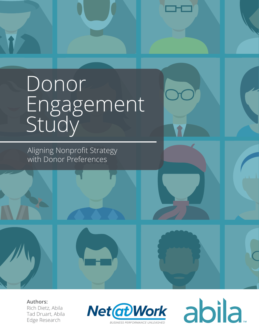# Donor Engagement Study

Aligning Nonprofit Strategy with Donor Preferences

**Authors:** Rich Dietz, Abila Tad Druart, Abila Edge Research



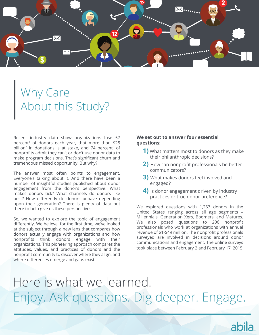

### Why Care About this Study?

Recent industry data show organizations lose 57 percent<sup>1</sup> of donors each year, that more than \$25 billion<sup>2</sup> in donations is at stake, and 74 percent<sup>3</sup> of nonprofits admit they can't or don't use donor data to make program decisions. That's significant churn and tremendous missed opportunity. But why?

The answer most often points to engagement. Everyone's talking about it. And there have been a number of insightful studies published about donor engagement from the donor's perspective. What makes donors tick? What channels do donors like best? How differently do donors behave depending upon their generation? There is plenty of data out there to help give us these perspectives.

So, we wanted to explore the topic of engagement differently. We believe, for the first time, we've looked at the subject through a new lens that compares how donors actually engage with organizations and how nonprofits think donors engage with their organizations. This pioneering approach compares the attitudes, values, and practices of donors and the nonprofit community to discover where they align, and where differences emerge and gaps exist.

### **We set out to answer four essential questions:**

- **1)** What matters most to donors as they make their philanthropic decisions?
- **2)** How can nonprofit professionals be better communicators?
- **3)** What makes donors feel involved and engaged?
- **4)** Is donor engagement driven by industry practices or true donor preference?

We explored questions with 1,263 donors in the United States ranging across all age segments – Millennials, Generation Xers, Boomers, and Matures. We also posed questions to 206 nonprofit professionals who work at organizations with annual revenue of \$1-\$49 million. The nonprofit professionals surveyed are involved in decisions around donor communications and engagement. The online surveys took place between February 2 and February 17, 2015.

abila.

## Here is what we learned. Enjoy. Ask questions. Dig deeper. Engage.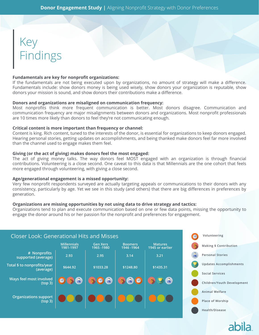### Key Findings

#### **Fundamentals are key for nonprofit organizations:**

If the fundamentals are not being executed upon by organizations, no amount of strategy will make a difference. Fundamentals include: show donors money is being used wisely, show donors your organization is reputable, show donors your mission is sound, and show donors their contributions make a difference.

#### **Donors and organizations are misaligned on communication frequency:**

Most nonprofits think more frequent communication is better. Most donors disagree. Communication and communication frequency are major misalignments between donors and organizations. Most nonprofit professionals are 10 times more likely than donors to feel they're not communicating enough.

### **Critical content is more important than frequency or channel:**

Content is king. Rich content, tuned to the interests of the donor, is essential for organizations to keep donors engaged. Hearing personal stories, getting updates on accomplishments, and being thanked make donors feel far more involved than the channel used to engage makes them feel.

### **Giving (or the act of giving) makes donors feel the most engaged:**

The act of giving money talks. The way donors feel MOST engaged with an organization is through financial contributions. Volunteering is a close second. One caveat to this data is that Millennials are the one cohort that feels more engaged through volunteering, with giving a close second.

#### **Age/generational engagement is a missed opportunity:**

Very few nonprofit respondents surveyed are actually targeting appeals or communications to their donors with any consistency, particularly by age. Yet we see in this study (and others) that there are big differences in preferences by generation.

### **Organizations are missing opportunities by not using data to drive strategy and tactics:**

Organizations tend to plan and execute communication based on one or few data points, missing the opportunity to engage the donor around his or her passion for the nonprofit and preferences for engagement.

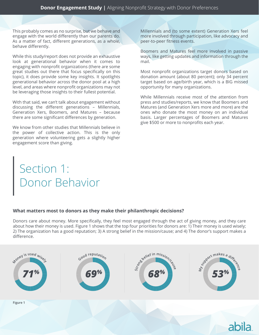This probably comes as no surprise, but we behave and engage with the world differently than our parents do. As a matter of fact, different generations, as a whole, behave differently.

While this study/report does not provide an exhaustive look at generational behavior when it comes to engaging with nonprofit organizations (there are some great studies out there that focus specifically on this topic), it does provide some key insights. It spotlights generational behavior across the donor pool at a high level, and areas where nonprofit organizations may not be leveraging those insights to their fullest potential.

With that said, we can't talk about engagement without discussing the different generations – Millennials, Generation Xers, Boomers, and Matures – because there are some significant differences by generation.

We know from other studies that Millennials believe in the power of collective action. This is the only generation where volunteering gets a slightly higher engagement score than giving.

Millennials and (to some extent) Generation Xers feel more involved through participation, like advocacy and peer-to-peer fitness events.

Boomers and Matures feel more involved in passive ways, like getting updates and information through the mail.

Most nonprofit organizations target donors based on donation amount (about 80 percent); only 34 percent target based on age/birth year, which is a BIG missed opportunity for many organizations.

While Millennials receive most of the attention from press and studies/reports, we know that Boomers and Matures (and Generation Xers more and more) are the ones who donate the most money on an individual basis. Larger percentages of Boomers and Matures give \$500 or more to nonprofits each year.

### Section 1: Donor Behavior

### **What matters most to donors as they make their philanthropic decisions?**

Donors care about money. More specifically, they feel most engaged through the act of giving money, and they care about how their money is used. Figure 1 shows that the top four priorities for donors are: 1) Their money is used wisely; 2) The organization has a good reputation; 3) A strong belief in the mission/cause; and 4) The donor's support makes a difference.

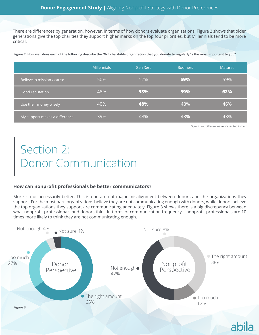There are differences by generation, however, in terms of how donors evaluate organizations. Figure 2 shows that older generations give the top charities they support higher marks on the top four priorities, but Millennials tend to be more critical.

**Figure 2: How well does each of the following describe the ONE charitable organization that you donate to regularly/is the most important to you?**

|                               | <b>Millennials</b> | Gen Xers | <b>Boomers</b> | <b>Matures</b> |
|-------------------------------|--------------------|----------|----------------|----------------|
| Believe in mission / cause    | 50%                | 57%      | 59%            | 59%            |
| Good reputation               | 48%                | 53%      | 59%            | 62%            |
| Use their money wisely        | 40%                | 48%      | 48%            | 46%            |
| My support makes a difference | 39%                | 43%      | 43%            | 43%            |

Significant differences represented in bold

Section 2: Donor Communication

### **How can nonprofit professionals be better communicators?**

More is not necessarily better. This is one area of major misalignment between donors and the organizations they support. For the most part, organizations believe they are not communicating enough with donors, while donors believe the top organizations they support are communicating adequately. Figure 3 shows there is a big discrepancy between what nonprofit professionals and donors think in terms of communication frequency – nonprofit professionals are 10 times more likely to think they are not communicating enough.

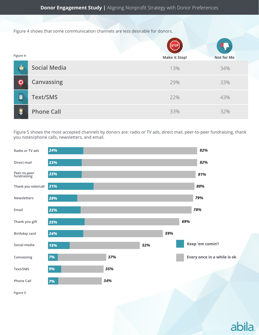Figure 4 shows that some communication channels are less desirable for donors.

|          |                     | $[\begin{smallmatrix} \texttt{STOP} \end{smallmatrix}]$ |                   |
|----------|---------------------|---------------------------------------------------------|-------------------|
| Figure 4 |                     | <b>Make it Stop!</b>                                    | <b>Not for Me</b> |
|          | <b>Social Media</b> | 13%                                                     | 34%               |
|          | Canvassing          | 29%                                                     | 33%               |
| O        | <b>Text/SMS</b>     | 22%                                                     | 43%               |
|          | <b>Phone Call</b>   | 33%                                                     | 32%               |

Figure 5 shows the most accepted channels by donors are: radio or TV ads, direct mail, peer-to-peer fundraising, thank you notes/phone calls, newsletters, and email.



abila.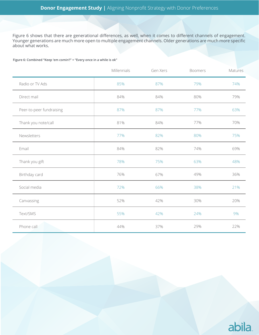Figure 6 shows that there are generational differences, as well, when it comes to different channels of engagement. Younger generations are much more open to multiple engagement channels. Older generations are much more specific about what works.

**Figure 6: Combined "Keep 'em comin'!" + "Every once in a while is ok"**

|                          | Millennials | Gen Xers | <b>Boomers</b> | Matures |
|--------------------------|-------------|----------|----------------|---------|
| Radio or TV Ads          | 85%         | 87%      | 79%            | 74%     |
| Direct mail              | 84%         | 84%      | 80%            | 79%     |
| Peer-to-peer fundraising | 87%         | 87%      | 77%            | 63%     |
| Thank you note/call      | 81%         | 84%      | 77%            | 70%     |
| Newsletters              | 77%         | 82%      | 80%            | 75%     |
| Email                    | 84%         | 82%      | 74%            | 69%     |
| Thank you gift           | 78%         | 75%      | 63%            | 48%     |
| Birthday card            | 76%         | 67%      | 49%            | 36%     |
| Social media             | 72%         | 66%      | 38%            | 21%     |
| Canvassing               | 52%         | 42%      | 30%            | 20%     |
| Text/SMS                 | 55%         | 42%      | 24%            | 9%      |
| Phone call               | 44%         | 37%      | 29%            | 22%     |

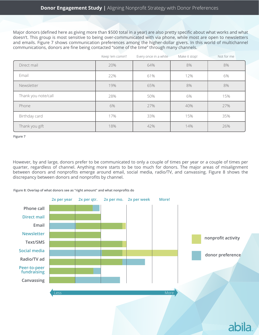Major donors (defined here as giving more than \$500 total in a year) are also pretty specific about what works and what doesn't. This group is most sensitive to being over-communicated with via phone, while most are open to newsletters and emails. Figure 7 shows communication preferences among the higher-dollar givers. In this world of multichannel communications, donors are fine being contacted "some of the time" through many channels.

|                     | Keep 'em comin'! | Every once in a while | Make it stop! | Not for me |
|---------------------|------------------|-----------------------|---------------|------------|
| Direct mail         | 20%              | 64%                   | 8%            | 8%         |
| Email               | 22%              | 61%                   | 12%           | 6%         |
| Newsletter          | 19%              | 65%                   | 8%            | 8%         |
| Thank you note/call | 28%              | 50%                   | 6%            | 15%        |
| Phone               | 6%               | 27%                   | 40%           | 27%        |
| Birthday card       | 17%              | 33%                   | 15%           | 35%        |
| Thank you gift      | 18%              | 42%                   | 14%           | 26%        |

**Figure 7** 

However, by and large, donors prefer to be communicated to only a couple of times per year or a couple of times per quarter, regardless of channel. Anything more starts to be too much for donors. The major areas of misalignment between donors and nonprofits emerge around email, social media, radio/TV, and canvassing. Figure 8 shows the discrepancy between donors and nonprofits by channel.

**Figure 8: Overlap of what donors see as "right amount" and what nonprofits do**

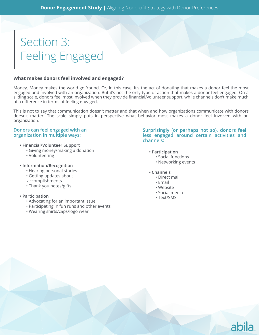### Section 3: Feeling Engaged

### **What makes donors feel involved and engaged?**

Money. Money makes the world go 'round. Or, in this case, it's the act of donating that makes a donor feel the most engaged and involved with an organization. But it's not the only type of action that makes a donor feel engaged. On a sliding scale, donors feel most involved when they provide financial/volunteer support, while channels don't make much of a difference in terms of feeling engaged.

This is not to say that communication doesn't matter and that when and how organizations communicate with donors doesn't matter. The scale simply puts in perspective what behavior most makes a donor feel involved with an organization.

#### **Donors can feel engaged with an organization in multiple ways:**

- **Financial/Volunteer Support**
	- Giving money/making a donation
	- Volunteering
- **Information/Recognition**
	- Hearing personal stories
	- Getting updates about
	- accomplishments
	- Thank you notes/gifts

### **• Participation**

- Advocating for an important issue
- Participating in fun runs and other events
- Wearing shirts/caps/logo wear

**Surprisingly (or perhaps not so), donors feel less engaged around certain activities and channels:** 

abila.

- **Participation**
	- Social functions
	- Networking events
- **Channels**
	- Direct mail
	- Email
	- Website
	- Social media
	- Text/SMS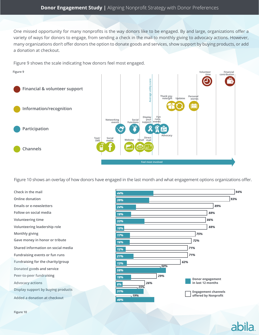One missed opportunity for many nonprofits is the way donors like to be engaged. By and large, organizations offer a variety of ways for donors to engage, from sending a check in the mail to monthly giving to advocacy actions. However, many organizations don't offer donors the option to donate goods and services, show support by buying products, or add a donation at checkout.

Figure 9 shows the scale indicating how donors feel most engaged.



Figure 10 shows an overlay of how donors have engaged in the last month and what engagement options organizations offer.

**Check in the mail Online donation Emails or e-newsletters Follow on social media Volunteering time Volunteering leadership role Monthly giving Gave money in honor or tribute Shared information on social media Fundraising events or fun runs Fundraising for the charity/group Peer-to-peer fundraising Advocacy actions Display support by buying products Donated goods and service Added a donation at checkout**



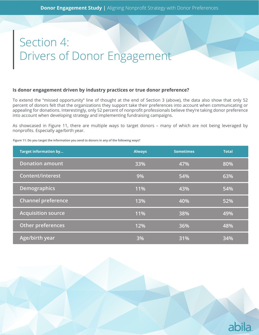### Section 4: Drivers of Donor Engagement

### **Is donor engagement driven by industry practices or true donor preference?**

To extend the "missed opportunity" line of thought at the end of Section 3 (above), the data also show that only 52 percent of donors felt that the organizations they support take their preferences into account when communicating or appealing for donations. Interestingly, only 52 percent of nonprofit professionals believe they're taking donor preference into account when developing strategy and implementing fundraising campaigns.

As showcased in Figure 11, there are multiple ways to target donors – many of which are not being leveraged by nonprofits. Especially age/birth year.

**Figure 11: Do you target the information you send to donors in any of the following ways?**

| <b>Target information by</b> | <b>Always</b> | <b>Sometimes</b> | <b>Total</b> |
|------------------------------|---------------|------------------|--------------|
| <b>Donation amount</b>       | 33%           | 47%              | 80%          |
| <b>Content/interest</b>      | 9%            | 54%              | 63%          |
| <b>Demographics</b>          | 11%           | 43%              | 54%          |
| <b>Channel preference</b>    | 13%           | 40%              | 52%          |
| <b>Acquisition source</b>    | 11%           | 38%              | 49%          |
| Other preferences            | 12%           | 36%              | 48%          |
| Age/birth year               | 3%            | 31%              | 34%          |

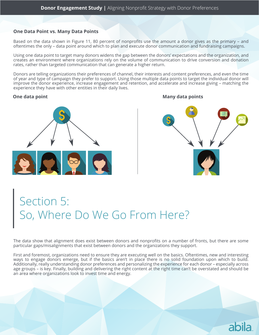### **One Data Point vs. Many Data Points**

Based on the data shown in Figure 11, 80 percent of nonprofits use the amount a donor gives as the primary – and oftentimes the only – data point around which to plan and execute donor communication and fundraising campaigns.

Using one data point to target many donors widens the gap between the donors' expectations and the organization, and creates an environment where organizations rely on the volume of communication to drive conversion and donation rates, rather than targeted communication that can generate a higher return.

Donors are telling organizations their preferences of channel, their interests and content preferences, and even the time of year and type of campaign they prefer to support. Using those multiple data points to target the individual donor will improve the donor experience, increase engagement and retention, and accelerate and increase giving – matching the experience they have with other entities in their daily lives.

### **One data point**



**Many data points**

### Section 5: So, Where Do We Go From Here?

The data show that alignment does exist between donors and nonprofits on a number of fronts, but there are some particular gaps/misalignments that exist between donors and the organizations they support.

First and foremost, organizations need to ensure they are executing well on the basics. Oftentimes, new and interesting ways to engage donors emerge, but if the basics aren't in place there is no solid foundation upon which to build. Additionally, really understanding donor preferences and personalizing the experience for each donor – especially across age groups – is key. Finally, building and delivering the right content at the right time can't be overstated and should be an area where organizations look to invest time and energy.

### abila